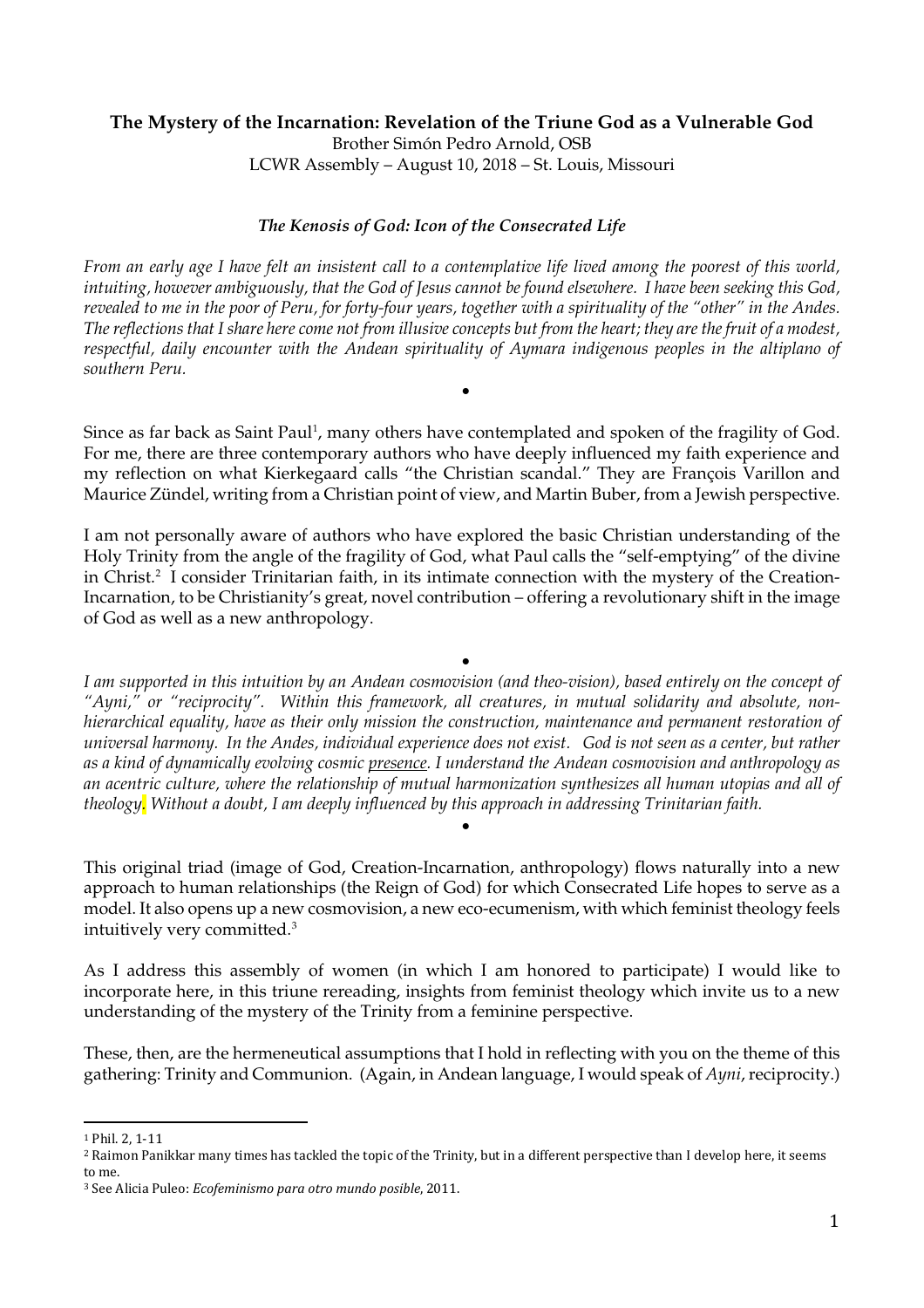## **The Mystery of the Incarnation: Revelation of the Triune God as a Vulnerable God** Brother Simón Pedro Arnold, OSB LCWR Assembly – August 10, 2018 – St. Louis, Missouri

### *The Kenosis of God: Icon of the Consecrated Life*

*From an early age I have felt an insistent call to a contemplative life lived among the poorest of this world, intuiting, however ambiguously, that the God of Jesus cannot be found elsewhere. I have been seeking this God, revealed to me in the poor of Peru, for forty-four years, together with a spirituality of the "other" in the Andes. The reflections that I share here come not from illusive concepts but from the heart; they are the fruit of a modest, respectful, daily encounter with the Andean spirituality of Aymara indigenous peoples in the altiplano of southern Peru.*

Since as far back as Saint Paul<sup>1</sup>, many others have contemplated and spoken of the fragility of God. For me, there are three contemporary authors who have deeply influenced my faith experience and my reflection on what Kierkegaard calls "the Christian scandal." They are François Varillon and Maurice Zündel, writing from a Christian point of view, and Martin Buber, from a Jewish perspective.

•

I am not personally aware of authors who have explored the basic Christian understanding of the Holy Trinity from the angle of the fragility of God, what Paul calls the "self-emptying" of the divine in Christ.<sup>[2](#page-0-1)</sup> I consider Trinitarian faith, in its intimate connection with the mystery of the Creation-Incarnation, to be Christianity's great, novel contribution – offering a revolutionary shift in the image of God as well as a new anthropology.

• *I am supported in this intuition by an Andean cosmovision (and theo-vision), based entirely on the concept of "Ayni," or "reciprocity". Within this framework, all creatures, in mutual solidarity and absolute, nonhierarchical equality, have as their only mission the construction, maintenance and permanent restoration of universal harmony. In the Andes, individual experience does not exist. God is not seen as a center, but rather as a kind of dynamically evolving cosmic presence. I understand the Andean cosmovision and anthropology as an acentric culture, where the relationship of mutual harmonization synthesizes all human utopias and all of theology. Without a doubt, I am deeply influenced by this approach in addressing Trinitarian faith.*

This original triad (image of God, Creation-Incarnation, anthropology) flows naturally into a new approach to human relationships (the Reign of God) for which Consecrated Life hopes to serve as a model. It also opens up a new cosmovision, a new eco-ecumenism, with which feminist theology feels intuitively very committed.[3](#page-0-2)

•

As I address this assembly of women (in which I am honored to participate) I would like to incorporate here, in this triune rereading, insights from feminist theology which invite us to a new understanding of the mystery of the Trinity from a feminine perspective.

These, then, are the hermeneutical assumptions that I hold in reflecting with you on the theme of this gathering: Trinity and Communion. (Again, in Andean language, I would speak of *Ayni*, reciprocity.)

<span id="page-0-0"></span> <sup>1</sup> Phil. 2, 1-11

<span id="page-0-1"></span><sup>2</sup> Raimon Panikkar many times has tackled the topic of the Trinity, but in a different perspective than I develop here, it seems to me.

<span id="page-0-2"></span><sup>3</sup> See Alicia Puleo: *Ecofeminismo para otro mundo posible*, 2011.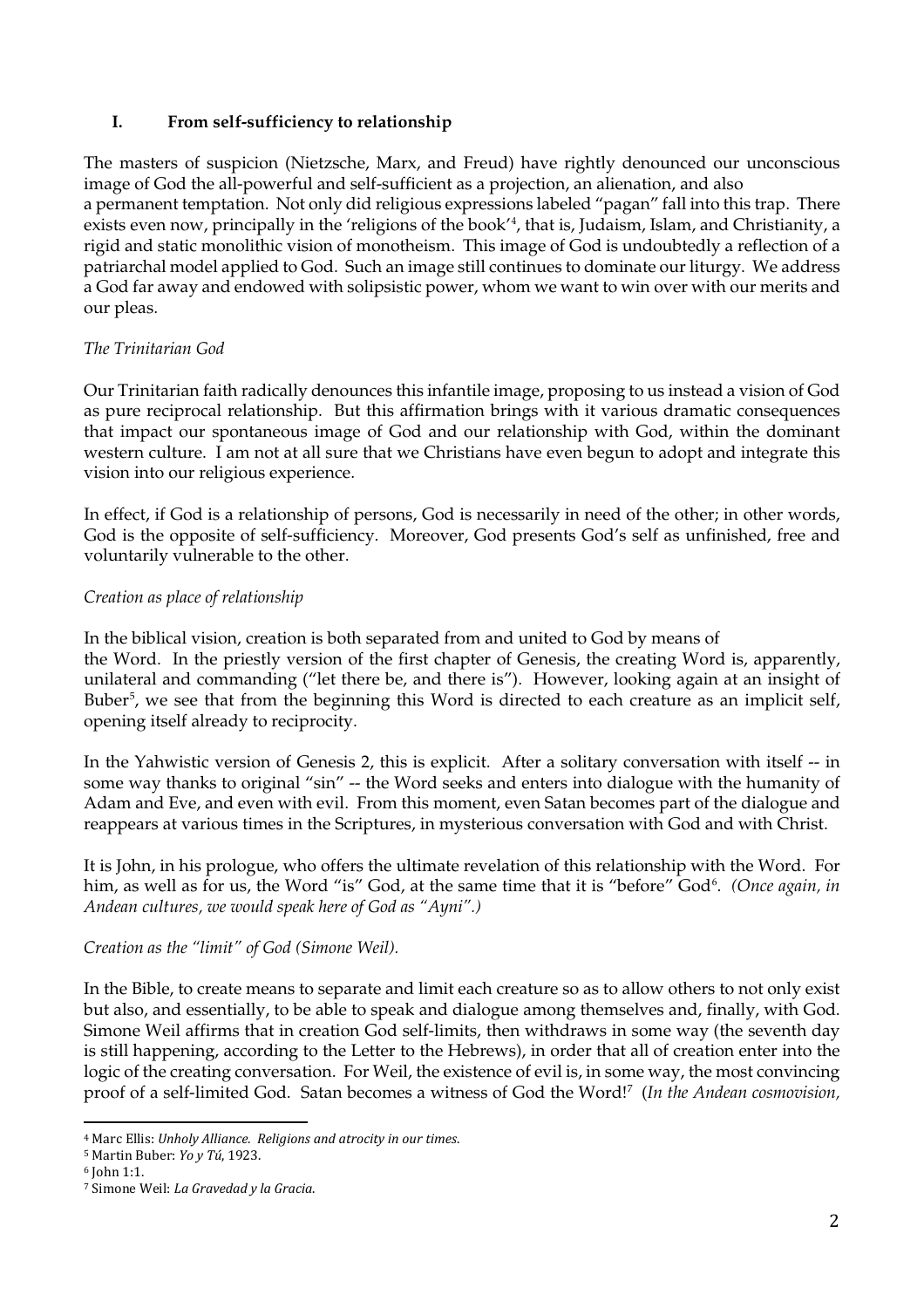## **I. From self-sufficiency to relationship**

The masters of suspicion (Nietzsche, Marx, and Freud) have rightly denounced our unconscious image of God the all-powerful and self-sufficient as a projection, an alienation, and also a permanent temptation. Not only did religious expressions labeled "pagan" fall into this trap. There exists even now, principally in the 'religions of the book'[4](#page-1-0) , that is, Judaism, Islam, and Christianity, a rigid and static monolithic vision of monotheism. This image of God is undoubtedly a reflection of a patriarchal model applied to God. Such an image still continues to dominate our liturgy. We address a God far away and endowed with solipsistic power, whom we want to win over with our merits and our pleas.

## *The Trinitarian God*

Our Trinitarian faith radically denounces this infantile image, proposing to us instead a vision of God as pure reciprocal relationship. But this affirmation brings with it various dramatic consequences that impact our spontaneous image of God and our relationship with God, within the dominant western culture. I am not at all sure that we Christians have even begun to adopt and integrate this vision into our religious experience.

In effect, if God is a relationship of persons, God is necessarily in need of the other; in other words, God is the opposite of self-sufficiency. Moreover, God presents God's self as unfinished, free and voluntarily vulnerable to the other.

## *Creation as place of relationship*

In the biblical vision, creation is both separated from and united to God by means of the Word. In the priestly version of the first chapter of Genesis, the creating Word is, apparently, unilateral and commanding ("let there be, and there is"). However, looking again at an insight of Buber<sup>[5](#page-1-1)</sup>, we see that from the beginning this Word is directed to each creature as an implicit self, opening itself already to reciprocity.

In the Yahwistic version of Genesis 2, this is explicit. After a solitary conversation with itself -- in some way thanks to original "sin" -- the Word seeks and enters into dialogue with the humanity of Adam and Eve, and even with evil. From this moment, even Satan becomes part of the dialogue and reappears at various times in the Scriptures, in mysterious conversation with God and with Christ.

It is John, in his prologue, who offers the ultimate revelation of this relationship with the Word. For him, as well as for us, the Word "is" God, at the same time that it is "before" God<sup>[6](#page-1-2)</sup>. *(Once again, in Andean cultures, we would speak here of God as "Ayni".)*

#### *Creation as the "limit" of God (Simone Weil).*

In the Bible, to create means to separate and limit each creature so as to allow others to not only exist but also, and essentially, to be able to speak and dialogue among themselves and, finally, with God. Simone Weil affirms that in creation God self-limits, then withdraws in some way (the seventh day is still happening, according to the Letter to the Hebrews), in order that all of creation enter into the logic of the creating conversation. For Weil, the existence of evil is, in some way, the most convincing proof of a self-limited God. Satan becomes a witness of God the Word![7](#page-1-3) (*In the Andean cosmovision,* 

<span id="page-1-0"></span> <sup>4</sup> Marc Ellis: *Unholy Alliance. Religions and atrocity in our times*.

<span id="page-1-1"></span><sup>5</sup> Martin Buber: *Yo y Tú*, 1923.

<span id="page-1-2"></span><sup>6</sup> John 1:1.

<span id="page-1-3"></span><sup>7</sup> Simone Weil: *La Gravedad y la Gracia*.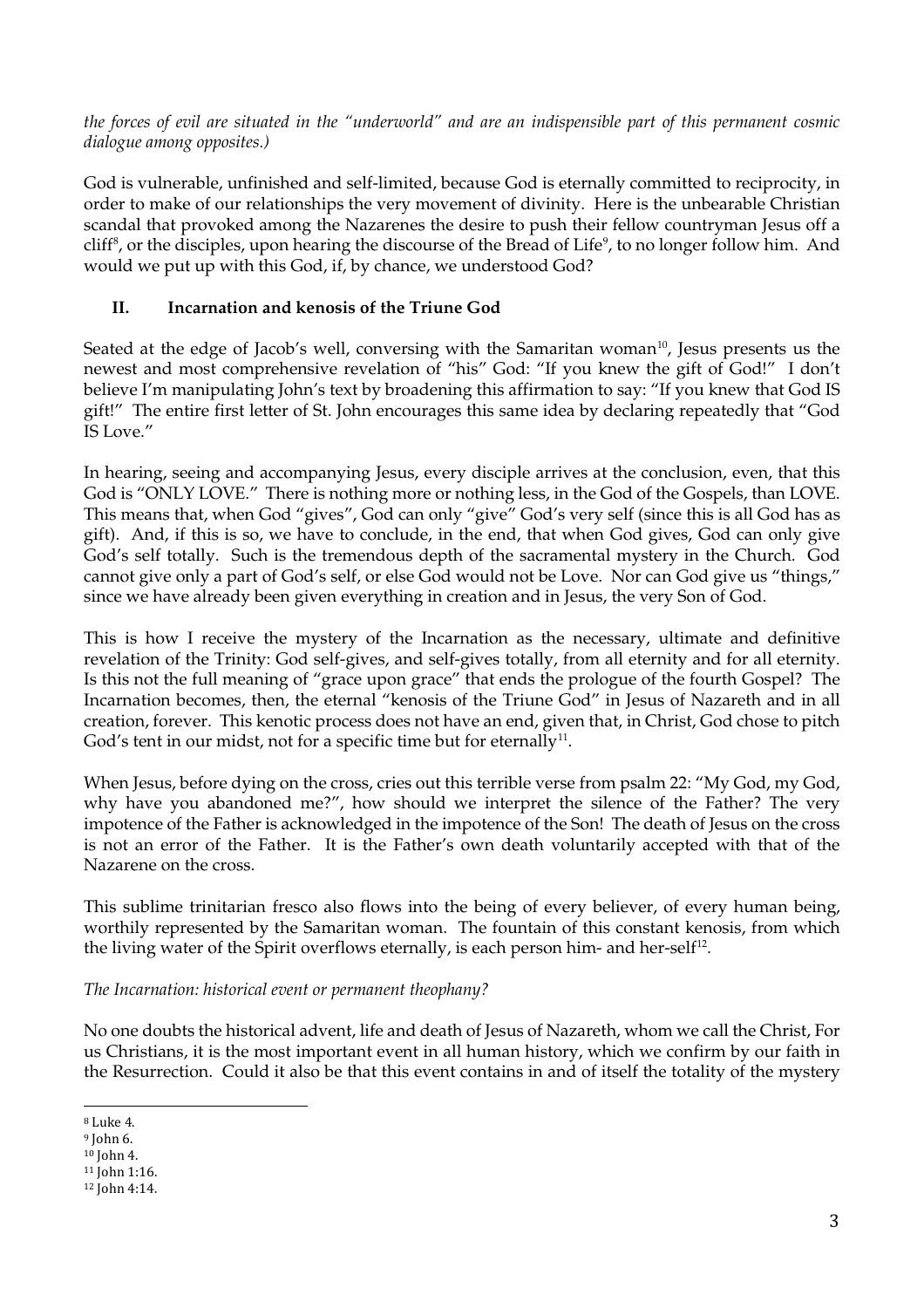*the forces of evil are situated in the "underworld" and are an indispensible part of this permanent cosmic dialogue among opposites.)*

God is vulnerable, unfinished and self-limited, because God is eternally committed to reciprocity, in order to make of our relationships the very movement of divinity. Here is the unbearable Christian scandal that provoked among the Nazarenes the desire to push their fellow countryman Jesus off a cliff<sup>[8](#page-2-0)</sup>, or the disciples, upon hearing the discourse of the Bread of Life<sup>9</sup>, to no longer follow him. And would we put up with this God, if, by chance, we understood God?

# **II. Incarnation and kenosis of the Triune God**

Seated at the edge of Jacob's well, conversing with the Samaritan woman $^{10}$ , Jesus presents us the newest and most comprehensive revelation of "his" God: "If you knew the gift of God!" I don't believe I'm manipulating John's text by broadening this affirmation to say: "If you knew that God IS gift!" The entire first letter of St. John encourages this same idea by declaring repeatedly that "God IS Love."

In hearing, seeing and accompanying Jesus, every disciple arrives at the conclusion, even, that this God is "ONLY LOVE." There is nothing more or nothing less, in the God of the Gospels, than LOVE. This means that, when God "gives", God can only "give" God's very self (since this is all God has as gift). And, if this is so, we have to conclude, in the end, that when God gives, God can only give God's self totally. Such is the tremendous depth of the sacramental mystery in the Church. God cannot give only a part of God's self, or else God would not be Love. Nor can God give us "things," since we have already been given everything in creation and in Jesus, the very Son of God.

This is how I receive the mystery of the Incarnation as the necessary, ultimate and definitive revelation of the Trinity: God self-gives, and self-gives totally, from all eternity and for all eternity. Is this not the full meaning of "grace upon grace" that ends the prologue of the fourth Gospel? The Incarnation becomes, then, the eternal "kenosis of the Triune God" in Jesus of Nazareth and in all creation, forever. This kenotic process does not have an end, given that, in Christ, God chose to pitch God's tent in our midst, not for a specific time but for eternally<sup>11</sup>.

When Jesus, before dying on the cross, cries out this terrible verse from psalm 22: "My God, my God, why have you abandoned me?", how should we interpret the silence of the Father? The very impotence of the Father is acknowledged in the impotence of the Son! The death of Jesus on the cross is not an error of the Father. It is the Father's own death voluntarily accepted with that of the Nazarene on the cross.

This sublime trinitarian fresco also flows into the being of every believer, of every human being, worthily represented by the Samaritan woman. The fountain of this constant kenosis, from which the living water of the Spirit overflows eternally, is each person him- and her-self<sup>[12](#page-2-4)</sup>.

*The Incarnation: historical event or permanent theophany?*

No one doubts the historical advent, life and death of Jesus of Nazareth, whom we call the Christ, For us Christians, it is the most important event in all human history, which we confirm by our faith in the Resurrection. Could it also be that this event contains in and of itself the totality of the mystery

<span id="page-2-0"></span> <sup>8</sup> Luke 4.

<span id="page-2-1"></span><sup>9</sup> John 6.

<span id="page-2-2"></span><sup>10</sup> John 4.

<span id="page-2-3"></span><sup>11</sup> John 1:16.

<span id="page-2-4"></span><sup>12</sup> John 4:14.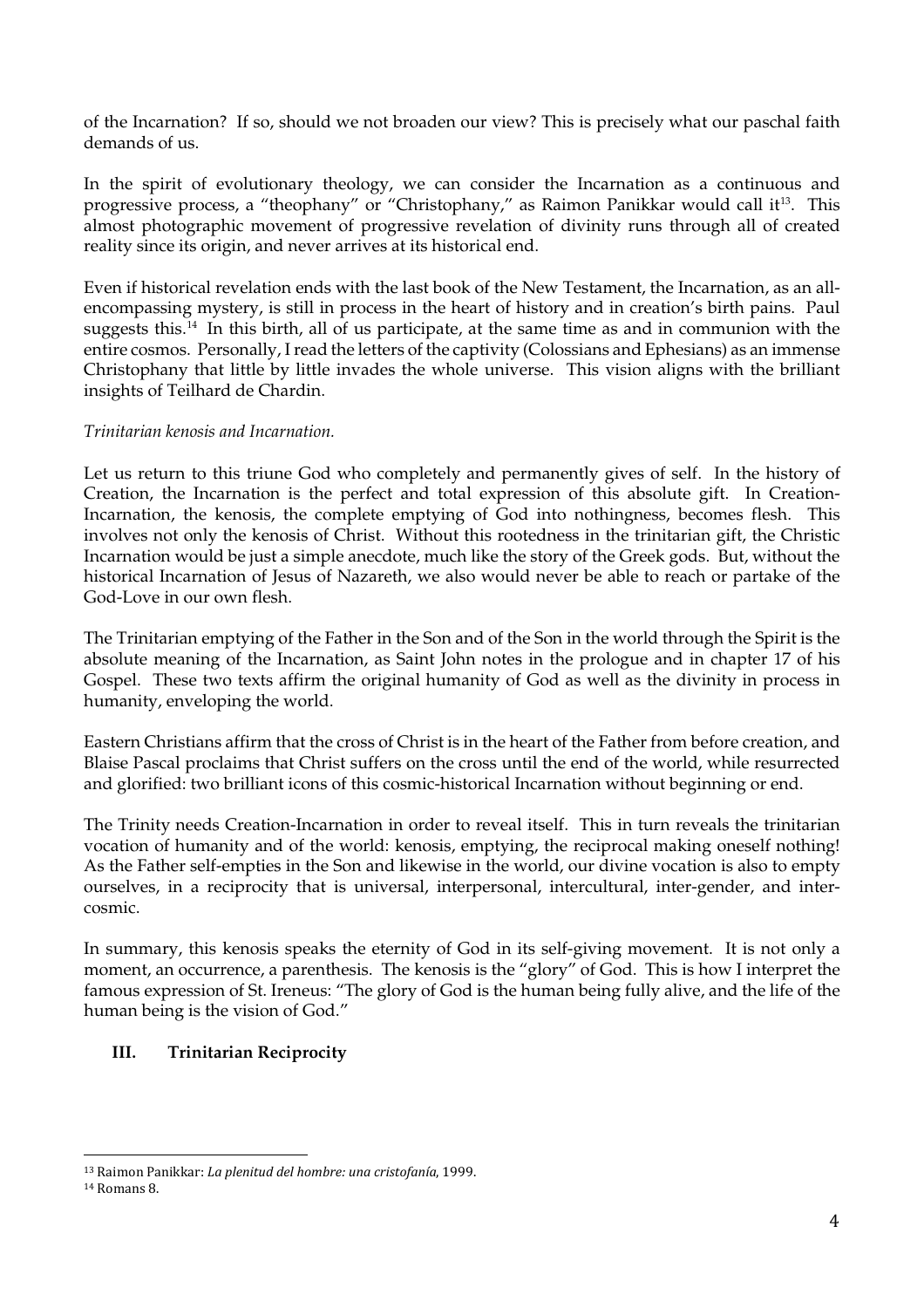of the Incarnation? If so, should we not broaden our view? This is precisely what our paschal faith demands of us.

In the spirit of evolutionary theology, we can consider the Incarnation as a continuous and progressive process, a "theophany" or "Christophany," as Raimon Panikkar would call it<sup>[13](#page-3-0)</sup>. This almost photographic movement of progressive revelation of divinity runs through all of created reality since its origin, and never arrives at its historical end.

Even if historical revelation ends with the last book of the New Testament, the Incarnation, as an allencompassing mystery, is still in process in the heart of history and in creation's birth pains. Paul suggests this[.14](#page-3-1) In this birth, all of us participate, at the same time as and in communion with the entire cosmos. Personally, I read the letters of the captivity (Colossians and Ephesians) as an immense Christophany that little by little invades the whole universe. This vision aligns with the brilliant insights of Teilhard de Chardin.

## *Trinitarian kenosis and Incarnation.*

Let us return to this triune God who completely and permanently gives of self. In the history of Creation, the Incarnation is the perfect and total expression of this absolute gift. In Creation-Incarnation, the kenosis, the complete emptying of God into nothingness, becomes flesh. This involves not only the kenosis of Christ. Without this rootedness in the trinitarian gift, the Christic Incarnation would be just a simple anecdote, much like the story of the Greek gods. But, without the historical Incarnation of Jesus of Nazareth, we also would never be able to reach or partake of the God-Love in our own flesh.

The Trinitarian emptying of the Father in the Son and of the Son in the world through the Spirit is the absolute meaning of the Incarnation, as Saint John notes in the prologue and in chapter 17 of his Gospel. These two texts affirm the original humanity of God as well as the divinity in process in humanity, enveloping the world.

Eastern Christians affirm that the cross of Christ is in the heart of the Father from before creation, and Blaise Pascal proclaims that Christ suffers on the cross until the end of the world, while resurrected and glorified: two brilliant icons of this cosmic-historical Incarnation without beginning or end.

The Trinity needs Creation-Incarnation in order to reveal itself. This in turn reveals the trinitarian vocation of humanity and of the world: kenosis, emptying, the reciprocal making oneself nothing! As the Father self-empties in the Son and likewise in the world, our divine vocation is also to empty ourselves, in a reciprocity that is universal, interpersonal, intercultural, inter-gender, and intercosmic.

In summary, this kenosis speaks the eternity of God in its self-giving movement. It is not only a moment, an occurrence, a parenthesis. The kenosis is the "glory" of God. This is how I interpret the famous expression of St. Ireneus: "The glory of God is the human being fully alive, and the life of the human being is the vision of God."

# **III. Trinitarian Reciprocity**

<span id="page-3-0"></span> <sup>13</sup> Raimon Panikkar: *La plenitud del hombre: una cristofanía*, 1999.

<span id="page-3-1"></span><sup>14</sup> Romans 8.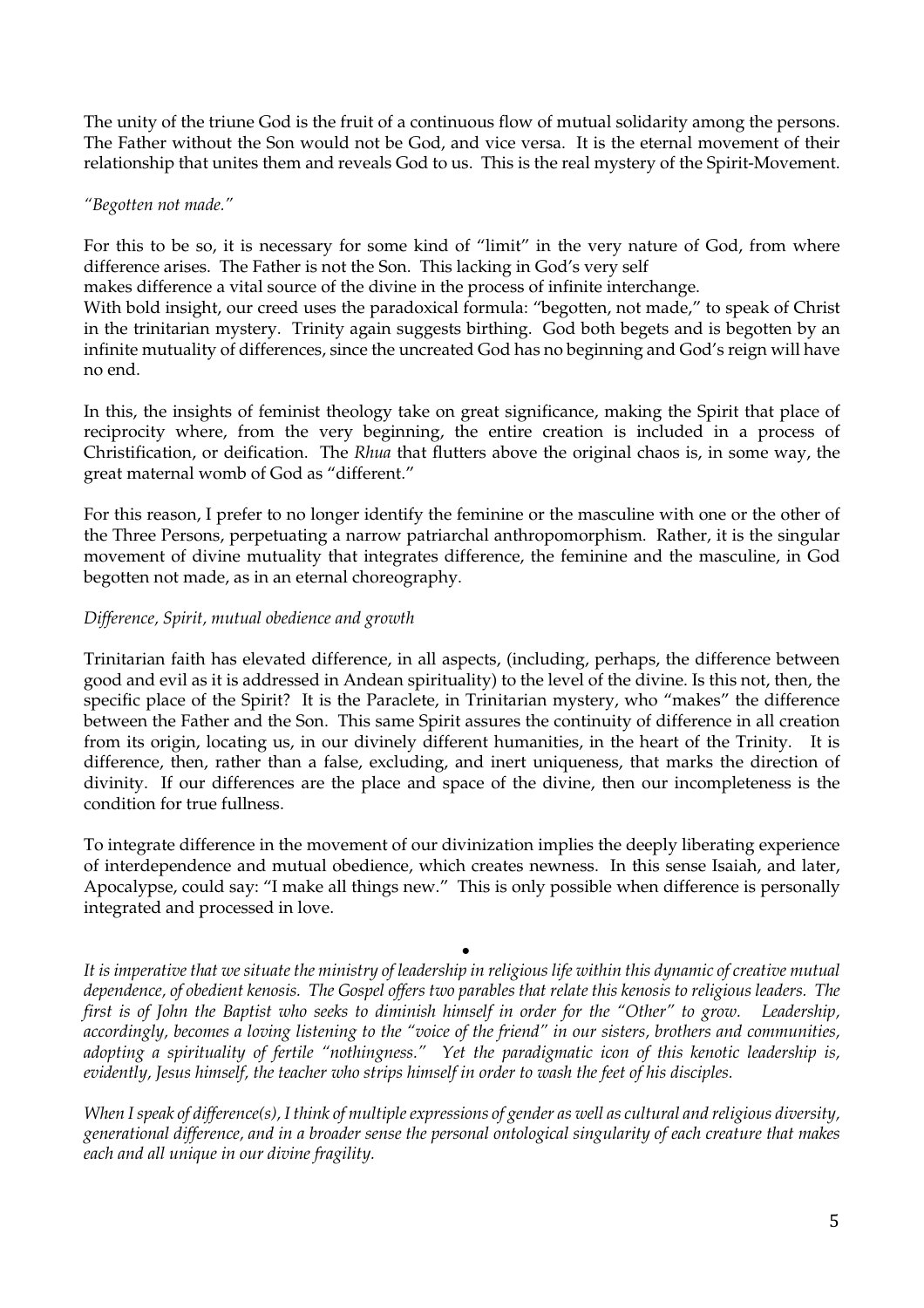The unity of the triune God is the fruit of a continuous flow of mutual solidarity among the persons. The Father without the Son would not be God, and vice versa. It is the eternal movement of their relationship that unites them and reveals God to us. This is the real mystery of the Spirit-Movement.

#### *"Begotten not made."*

For this to be so, it is necessary for some kind of "limit" in the very nature of God, from where difference arises. The Father is not the Son. This lacking in God's very self

makes difference a vital source of the divine in the process of infinite interchange.

With bold insight, our creed uses the paradoxical formula: "begotten, not made," to speak of Christ in the trinitarian mystery. Trinity again suggests birthing. God both begets and is begotten by an infinite mutuality of differences, since the uncreated God has no beginning and God's reign will have no end.

In this, the insights of feminist theology take on great significance, making the Spirit that place of reciprocity where, from the very beginning, the entire creation is included in a process of Christification, or deification. The *Rhua* that flutters above the original chaos is, in some way, the great maternal womb of God as "different."

For this reason, I prefer to no longer identify the feminine or the masculine with one or the other of the Three Persons, perpetuating a narrow patriarchal anthropomorphism. Rather, it is the singular movement of divine mutuality that integrates difference, the feminine and the masculine, in God begotten not made, as in an eternal choreography.

#### *Difference, Spirit, mutual obedience and growth*

Trinitarian faith has elevated difference, in all aspects, (including, perhaps, the difference between good and evil as it is addressed in Andean spirituality) to the level of the divine. Is this not, then, the specific place of the Spirit? It is the Paraclete, in Trinitarian mystery, who "makes" the difference between the Father and the Son. This same Spirit assures the continuity of difference in all creation from its origin, locating us, in our divinely different humanities, in the heart of the Trinity. It is difference, then, rather than a false, excluding, and inert uniqueness, that marks the direction of divinity. If our differences are the place and space of the divine, then our incompleteness is the condition for true fullness.

To integrate difference in the movement of our divinization implies the deeply liberating experience of interdependence and mutual obedience, which creates newness. In this sense Isaiah, and later, Apocalypse, could say: "I make all things new." This is only possible when difference is personally integrated and processed in love.

• *It is imperative that we situate the ministry of leadership in religious life within this dynamic of creative mutual dependence, of obedient kenosis. The Gospel offers two parables that relate this kenosis to religious leaders. The first is of John the Baptist who seeks to diminish himself in order for the "Other" to grow. Leadership, accordingly, becomes a loving listening to the "voice of the friend" in our sisters, brothers and communities, adopting a spirituality of fertile "nothingness." Yet the paradigmatic icon of this kenotic leadership is, evidently, Jesus himself, the teacher who strips himself in order to wash the feet of his disciples.* 

*When I speak of difference(s), I think of multiple expressions of gender as well as cultural and religious diversity, generational difference, and in a broader sense the personal ontological singularity of each creature that makes each and all unique in our divine fragility.*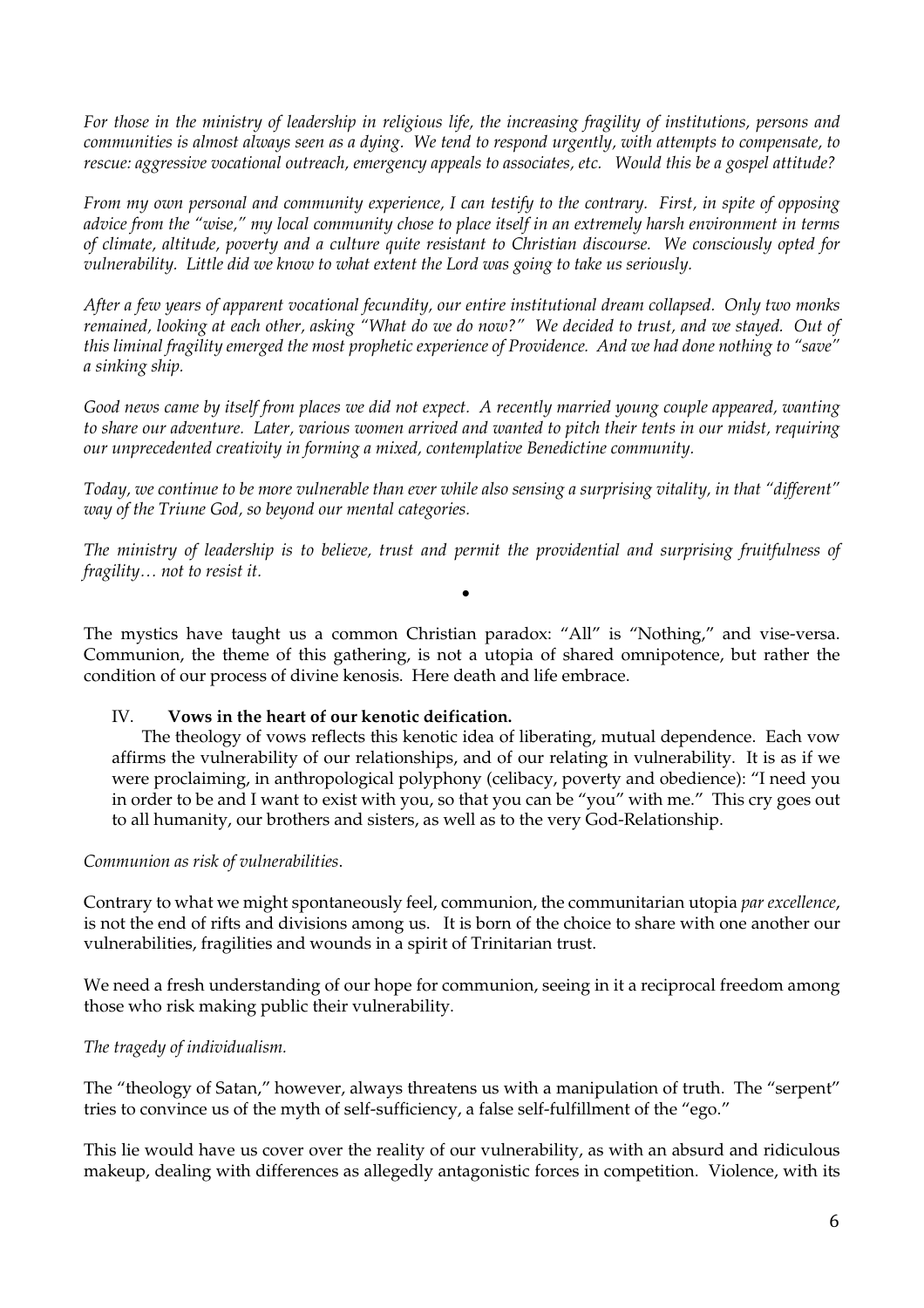*For those in the ministry of leadership in religious life, the increasing fragility of institutions, persons and communities is almost always seen as a dying. We tend to respond urgently, with attempts to compensate, to rescue: aggressive vocational outreach, emergency appeals to associates, etc. Would this be a gospel attitude?*

*From my own personal and community experience, I can testify to the contrary. First, in spite of opposing advice from the "wise," my local community chose to place itself in an extremely harsh environment in terms of climate, altitude, poverty and a culture quite resistant to Christian discourse. We consciously opted for vulnerability. Little did we know to what extent the Lord was going to take us seriously.*

*After a few years of apparent vocational fecundity, our entire institutional dream collapsed. Only two monks remained, looking at each other, asking "What do we do now?" We decided to trust, and we stayed. Out of this liminal fragility emerged the most prophetic experience of Providence. And we had done nothing to "save" a sinking ship.*

*Good news came by itself from places we did not expect. A recently married young couple appeared, wanting to share our adventure. Later, various women arrived and wanted to pitch their tents in our midst, requiring our unprecedented creativity in forming a mixed, contemplative Benedictine community.* 

*Today, we continue to be more vulnerable than ever while also sensing a surprising vitality, in that "different" way of the Triune God, so beyond our mental categories.* 

*The ministry of leadership is to believe, trust and permit the providential and surprising fruitfulness of fragility… not to resist it.*

•

The mystics have taught us a common Christian paradox: "All" is "Nothing," and vise-versa. Communion, the theme of this gathering, is not a utopia of shared omnipotence, but rather the condition of our process of divine kenosis. Here death and life embrace.

#### IV. **Vows in the heart of our kenotic deification.**

 The theology of vows reflects this kenotic idea of liberating, mutual dependence. Each vow affirms the vulnerability of our relationships, and of our relating in vulnerability. It is as if we were proclaiming, in anthropological polyphony (celibacy, poverty and obedience): "I need you in order to be and I want to exist with you, so that you can be "you" with me." This cry goes out to all humanity, our brothers and sisters, as well as to the very God-Relationship.

#### *Communion as risk of vulnerabilities*.

Contrary to what we might spontaneously feel, communion, the communitarian utopia *par excellence*, is not the end of rifts and divisions among us. It is born of the choice to share with one another our vulnerabilities, fragilities and wounds in a spirit of Trinitarian trust.

We need a fresh understanding of our hope for communion, seeing in it a reciprocal freedom among those who risk making public their vulnerability.

#### *The tragedy of individualism.*

The "theology of Satan," however, always threatens us with a manipulation of truth. The "serpent" tries to convince us of the myth of self-sufficiency, a false self-fulfillment of the "ego."

This lie would have us cover over the reality of our vulnerability, as with an absurd and ridiculous makeup, dealing with differences as allegedly antagonistic forces in competition. Violence, with its